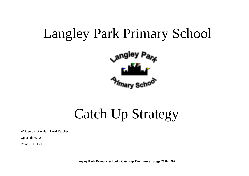# Langley Park Primary School



Catch Up Strategy

Written by: D Walton Head Teacher

Updated: .6.9.20

Review: 11.1.21

**Langley Park Primary School – Catch-up Premium Strategy 2020 - 2021**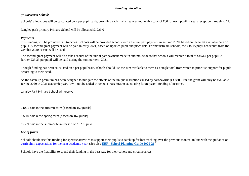## *Funding allocation*

#### *(Mainstream Schools)*

Schools' allocations will be calculated on a per pupil basis, providing each mainstream school with a total of £80 for each pupil in years reception through to 11.

Langley park primary Primary School will be allocated £12,640

#### *Payments*

This funding will be provided in 3 tranches. Schools will be provided schools with an initial part payment in autumn 2020, based on the latest available data on pupils. A second grant payment will be paid in early 2021, based on updated pupil and place data. For mainstream schools, the 4 to 15 pupil headcount from the October 2020 census will be used.

The second grant payment will also take account of the initial part payment made in autumn 2020 so that schools will receive a total of **£46.67** per pupil. A further £33.33 per pupil will be paid during the summer term 2021.

Though funding has been calculated on a per pupil basis, schools should use the sum available to them as a single total from which to prioritise support for pupils according to their need.

As the catch-up premium has been designed to mitigate the effects of the unique disruption caused by coronavirus (COVID-19), the grant will only be available for the 2020 to 2021 academic year. It will not be added to schools' baselines in calculating future years' funding allocations.

Langley Park Primary School will receive:

£4001 paid in the autumn term (based on 150 pupils)

£3240 paid n the spring term (based on 162 pupils)

£5399 paid in the summer term (based on 162 pupils)

## *Use of funds*

Schools should use this funding for specific activities to support their pupils to catch up for lost teaching over the previous months, in line with the guidance on [curriculum expectations for the next academic year.](https://www.gov.uk/government/publications/actions-for-schools-during-the-coronavirus-outbreak/guidance-for-full-opening-schools#section-3-curriculum-behaviour-and-pastoral-support) (See also **[EEF -](https://educationendowmentfoundation.org.uk/covid-19-resources/guide-to-supporting-schools-planning/) [School Planning Guide 2020-21](https://educationendowmentfoundation.org.uk/covid-19-resources/guide-to-supporting-schools-planning/)** )

Schools have the flexibility to spend their funding in the best way for their cohort and circumstances.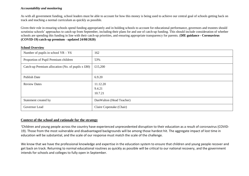### *Accountability and monitoring*

As with all government funding, school leaders must be able to account for how this money is being used to achieve our central goal of schools getting back on track and teaching a normal curriculum as quickly as possible.

Given their role in ensuring schools spend funding appropriately and in holding schools to account for educational performance, governors and trustees should scrutinise schools' approaches to catch-up from September, including their plans for and use of catch-up funding. This should include consideration of whether schools are spending this funding in line with their catch-up priorities, and ensuring appropriate transparency for parents*.* (**DfE guidance - Coronavirus (COVID-19) catch-up premium - updated 24/08/2020)** 

#### **School Overview**

| Number of pupils in school $YR - Y6$                         | 162                           |
|--------------------------------------------------------------|-------------------------------|
| Proportion of Pupil Premium children                         | 53%                           |
| Catch-up Premium allocation (No. of pupils $x \text{ £80}$ ) | £15,200                       |
| Publish Date                                                 | 6.9.20                        |
| <b>Review Dates</b>                                          | 11.12.20<br>9.4.21<br>10.7.21 |
| Statement created by                                         | Dan Walton (Head Teacher)     |
| Governor Lead                                                | Claire Copestake (Chair)      |

## **Context of the school and rationale for the strategy**

'Children and young people across the country have experienced unprecedented disruption to their education as a result of coronavirus (COVID-19). Those from the most vulnerable and disadvantaged backgrounds will be among those hardest hit. The aggregate impact of lost time in education will be substantial, and the scale of our response must match the scale of the challenge.

We know that we have the professional knowledge and expertise in the education system to ensure that children and young people recover and get back on track. Returning to normal educational routines as quickly as possible will be critical to our national recovery, and the government intends for schools and colleges to fully open in September.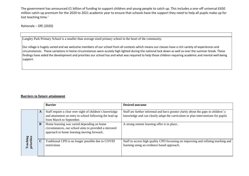The government has announced £1 billion of funding to support children and young people to catch up. This includes a one-off universal £650 million catch-up premium for the 2020 to 2021 academic year to ensure that schools have the support they need to help all pupils make up for lost teaching time.'

Rationale – DfE (2020)

.

Langley Park Primary School is a smaller than average sized primary school in the heart of the community.

Our village is hugely varied and we welcome members of our school from all contexts which means our classes have a rich variety of experiences and circumstances. These variations in home circumstances were acutely high lighted during the national lock down as well as over the summer break. These findings have aided the development and priorities our school has and what was required to help those children requiring academic and mental well-being support.

## **Barriers to future attainment**

|                       |             | <b>Barrier</b>                                                                                                                                  | <b>Desired outcome</b>                                                                                                                                                |
|-----------------------|-------------|-------------------------------------------------------------------------------------------------------------------------------------------------|-----------------------------------------------------------------------------------------------------------------------------------------------------------------------|
|                       | A           | Staff require a clear over sight of children's knowledge<br>and attainment on entry to school following the lead up<br>from March to September. | Staff are further informed and have greater clarity about the gaps in children'; s<br>knowledge and can clearly adapt the curriculum or plan interventions for pupils |
|                       | B           | Home learning was varied depending on home<br>circumstances, our school aims to provided a mirrored<br>approach to home learning moving forward | A strong remote learning offer is in place                                                                                                                            |
| eaching<br>priorities | $\mathbf C$ | Traditional CPD is no longer possible due to COVID<br>restrictions                                                                              | Staff to access high quality CPD focussing on improving and refining teaching and<br>learning using an evidence based approach.                                       |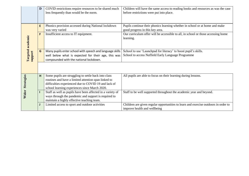|                   | D                                                   | COVID restrictions require resources to be shared much<br>less frequently than would be the norm.            | Children will have the same access to reading books and resources as was the case<br>before restrictions were put into place. |  |  |  |
|-------------------|-----------------------------------------------------|--------------------------------------------------------------------------------------------------------------|-------------------------------------------------------------------------------------------------------------------------------|--|--|--|
|                   |                                                     |                                                                                                              |                                                                                                                               |  |  |  |
|                   | E                                                   | Phonics provision accessed during National lockdown<br>was very varied                                       | Pupils continue their phonics learning whether in school or at home and make<br>good progress in this key area.               |  |  |  |
| Targeted academic | F                                                   | Insufficient access to IT equipment.                                                                         | Our curriculum offer will be accessible to all, in school or those accessing home<br>learning.                                |  |  |  |
|                   | G                                                   | Many pupils enter school with speech and language skills                                                     | School to use 'Launchpad for literacy' to boost pupil's skills.                                                               |  |  |  |
| support           | well below what is expected for their age, this was |                                                                                                              | School to access Nuffield Early Language Programme                                                                            |  |  |  |
|                   |                                                     | compounded with the national lockdown.                                                                       |                                                                                                                               |  |  |  |
|                   |                                                     |                                                                                                              |                                                                                                                               |  |  |  |
| Strategies        | н                                                   | Some pupils are struggling to settle back into class<br>routines and have a limited attention span linked to | All pupils are able to focus on their learning during lessons.                                                                |  |  |  |
|                   |                                                     | difficulties experienced due to COVID 19 and lack of<br>school learning experiences since March 2020.        |                                                                                                                               |  |  |  |
|                   |                                                     | Staff as well as pupils have been affected in a variety of                                                   | Staff to be well supported throughout the academic year and beyond.                                                           |  |  |  |
| Wider             |                                                     | ways through the pandemic and support is required to                                                         |                                                                                                                               |  |  |  |
|                   |                                                     | maintain a highly effective teaching team.                                                                   |                                                                                                                               |  |  |  |
|                   |                                                     | Limited access to sport and outdoor activities                                                               | Children are given regular opportunities to learn and exercise outdoors in order to                                           |  |  |  |
|                   |                                                     |                                                                                                              | improve health and wellbeing                                                                                                  |  |  |  |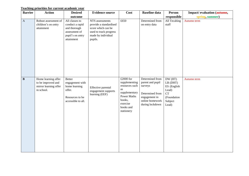## **Teaching priorities for current academic year**

| <b>Barrier</b> | <b>Action</b>                                                                    | <b>Desired</b>                                                                                       | <b>Evidence source</b>                                                                                                     | Cost                                                                                                                                | <b>Baseline</b> data                                                                                                     | <b>Person</b>                                                                               | Impact/evaluation (autumn, |
|----------------|----------------------------------------------------------------------------------|------------------------------------------------------------------------------------------------------|----------------------------------------------------------------------------------------------------------------------------|-------------------------------------------------------------------------------------------------------------------------------------|--------------------------------------------------------------------------------------------------------------------------|---------------------------------------------------------------------------------------------|----------------------------|
|                |                                                                                  | outcome                                                                                              |                                                                                                                            |                                                                                                                                     |                                                                                                                          | responsible                                                                                 | spring, summer)            |
| $\mathbf A$    | Robust assessment of<br>children's on entry<br>attainment                        | All classes to<br>conduct a rapid<br>and thorough<br>assessment of<br>pupil's on entry<br>attainment | NTS assessments<br>provide a standardised<br>score which can be<br>used to track progress<br>made by individual<br>pupils. | £650                                                                                                                                | Determined from<br>on entry data                                                                                         | All Tecahing<br>$\operatorname{staff}$                                                      | Autumn term                |
| $\, {\bf B}$   | Home learning offer<br>to be improved and<br>mirror learning offer<br>in school. | Better<br>engagement with<br>home learning<br>offer.<br>Resources to be<br>accessible to all.        | Effective parental<br>engagement supports<br>learning (EEF)                                                                | £2000 for<br>supplementing<br>resources such<br>as<br>supplementary<br>Power Maths<br>books,<br>exercise<br>books and<br>stationery | Determined from<br>parent and pupil<br>surveys<br>Determined from<br>engagement in<br>online homework<br>during lockdown | DW (HT)<br>LB (DHT)<br>ES (English<br>Lead)<br><b>CT</b><br>(Foundation<br>Subject<br>Lead) | Autumn term                |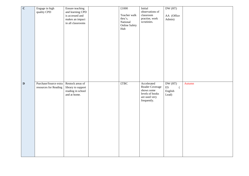| $\overline{\mathbf{C}}$ | Engage in high<br>quality CPD                  | Ensure teaching<br>and learning CPD<br>is accessed and<br>makes an impact<br>in all classrooms | £1000<br>Teacher walk<br>thru's,<br>National<br><b>Online Safety</b><br>Hub | Initial<br>observations of<br>classroom<br>practise, work<br>scrutinies.                        | DW(HT)<br>AA (Office<br>Admin)                                             |        |
|-------------------------|------------------------------------------------|------------------------------------------------------------------------------------------------|-----------------------------------------------------------------------------|-------------------------------------------------------------------------------------------------|----------------------------------------------------------------------------|--------|
| $\mathbf D$             | Purchase/Source extra<br>resources for Reading | Restock areas of<br>library to support<br>reading in school<br>and at home.                    | $\pounds$ TBC                                                               | Accelerated<br>Reader Coverage<br>shows some<br>levels of books<br>are used very<br>frequently. | DW(HT)<br>$\mathop{\hbox{\rm ES}}$<br>$\overline{(\ }$<br>English<br>Lead) | Autumn |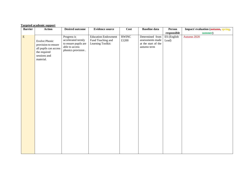|                | <b>Targeted academic support</b>                                                                                  |                                                                                                   |                                                                      |                               |                                                                           |                       |                                                |
|----------------|-------------------------------------------------------------------------------------------------------------------|---------------------------------------------------------------------------------------------------|----------------------------------------------------------------------|-------------------------------|---------------------------------------------------------------------------|-----------------------|------------------------------------------------|
| <b>Barrier</b> | <b>Action</b>                                                                                                     | <b>Desired outcome</b>                                                                            | <b>Evidence source</b>                                               | Cost                          | <b>Baseline</b> data                                                      | Person<br>responsible | Impact/ evaluation (autumn, spring,<br>summer) |
| ${\bf E}$      | <b>Evolve Phonic</b><br>provision to ensure<br>all pupils can access<br>the required<br>sessions and<br>material. | Progress is<br>accelerated termly<br>to ensure pupils are<br>able to access<br>phonics provision. | <b>Education Endowment</b><br>Fund Teaching and<br>Learning Toolkit: | <b>RWINC</b><br>$\pounds1200$ | Determined from<br>assessments made<br>at the start of the<br>autumn term | ES (English<br>Lead)  | Autumn 2020                                    |
|                |                                                                                                                   |                                                                                                   |                                                                      |                               |                                                                           |                       |                                                |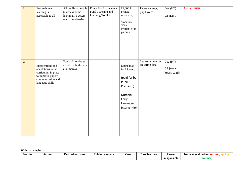| $\overline{\mathrm{F}}$ | Ensure home<br>learning is<br>accessible to all                                                                              | All pupils to be able<br>to access home<br>learning, IT access<br>not to be a barrier. | <b>Education Endowment</b><br>Fund Teaching and<br>Learning Toolkit: | £1,000 for<br>printed<br>resources,<br>Vodafone<br><b>SIMs</b><br>available for<br>parents                      | Parent surveys,<br>pupil voice    | DW (HT)<br>LB (DHT)                 | Autumn 2020 |
|-------------------------|------------------------------------------------------------------------------------------------------------------------------|----------------------------------------------------------------------------------------|----------------------------------------------------------------------|-----------------------------------------------------------------------------------------------------------------|-----------------------------------|-------------------------------------|-------------|
| $\overline{G}$          | Interventions and<br>adaptations to the<br>curriculum in place<br>to improve pupil's<br>communication and<br>language skills | Pupil's knowledge<br>and skills in this are<br>ato improve.                            |                                                                      | Launchpad<br>for Literacy<br>(paid for by<br>Pupil<br>Premium)<br>Nuffield<br>Early<br>Language<br>Intervention | See Autumn term<br>an spring data | DW (HT)<br>GR (early<br>Years Lead) |             |

**Wider strategies**

| <b>Barrier</b> | Action | ' outcome<br>Desirec<br>. | <b>Evidence source</b> | Cost | <b>Baseline data</b> | Person                  | lmpact/<br>evaluation |
|----------------|--------|---------------------------|------------------------|------|----------------------|-------------------------|-----------------------|
|                |        |                           |                        |      |                      | $\cdots$<br>responsible | summer                |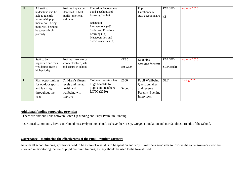| H       | All staff to<br>understand and be<br>able to identify<br>issues with pupil<br>mental well being,<br>pupil well being to<br>be given a high<br>priroirty. | Positive impact on<br>identified SEMH<br>pupils' emotional<br>wellbeing.           | <b>Education Endowment</b><br>Fund Teaching and<br>Learning Toolkit:<br><b>Behaviour</b><br>Interventions $(+3)$<br>Social and Emotional<br>Learning $(+4)$<br>Metacognition and<br>Self-Regulation $(+7)$ |                  | Pupil<br>Questionnaire,<br>staff questionnaire                                     | DW (HT)<br><b>CT</b> | Autumn 2020 |
|---------|----------------------------------------------------------------------------------------------------------------------------------------------------------|------------------------------------------------------------------------------------|------------------------------------------------------------------------------------------------------------------------------------------------------------------------------------------------------------|------------------|------------------------------------------------------------------------------------|----------------------|-------------|
| $\perp$ | Staff to be<br>supported and their<br>well being given a<br>high priority                                                                                | Positive<br>workforce<br>who feel valued, safe<br>and secure in school             |                                                                                                                                                                                                            | £TBC<br>Est £200 | Coaching<br>sessions for staff                                                     | DW(HT)<br>SC (Coach) | Autumn 2020 |
| J       | Plan opportunities<br>for outdoor sports<br>and learning<br>throughout the<br>year                                                                       | Children's fitness<br>levels and mental<br>health and<br>wellbeing will<br>improve | Outdoor learning has<br>huge benefits for<br>pupils and teachers<br>LOTC (2020)                                                                                                                            | £600<br>Scout Ed | Pupil Wellbeing<br>Questionnaires<br>and reverse<br>Parents' Evening<br>interviews | <b>SLT</b>           | Spring 2020 |

## **Additional funding supporting provision**

There are obvious links between Catch Up funding and Pupil Premium Funding

Our Local Community have contributed massively to our school, as have the Co-Op, Greggs Foundation and our fabulous Friends of the School.

## **Governance – monitoring the effectiveness of the Pupil Premium Strategy**

As with all school funding, governors need to be aware of what it is to be spent on and why. It may be a good idea to involve the same governors who are involved in monitoring the use of pupil premium funding, as they should be used to the format used.